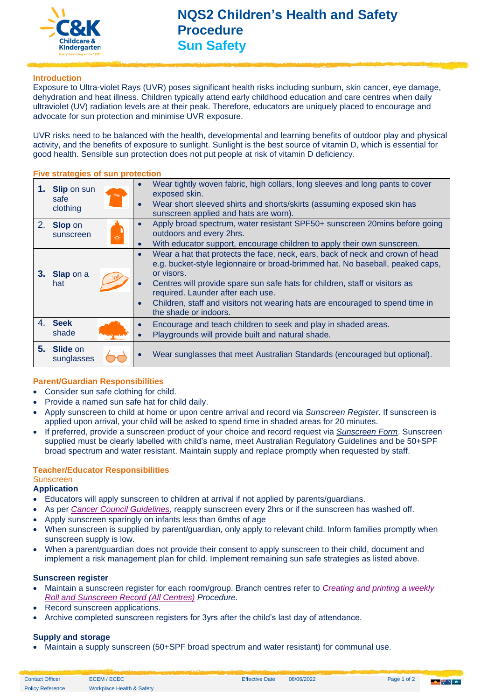

#### **Introduction**

Exposure to Ultra-violet Rays (UVR) poses significant health risks including sunburn, skin cancer, eye damage, dehydration and heat illness. Children typically attend early childhood education and care centres when daily ultraviolet (UV) radiation levels are at their peak. Therefore, educators are uniquely placed to encourage and advocate for sun protection and minimise UVR exposure.

UVR risks need to be balanced with the health, developmental and learning benefits of outdoor play and physical activity, and the benefits of exposure to sunlight. Sunlight is the best source of vitamin D, which is essential for good health. Sensible sun protection does not put people at risk of vitamin D deficiency.

#### **Five strategies of sun protection**

| 1. Slip on sun<br>-črk<br>safe<br>clothing | Wear tightly woven fabric, high collars, long sleeves and long pants to cover<br>$\bullet$<br>exposed skin.<br>Wear short sleeved shirts and shorts/skirts (assuming exposed skin has<br>$\bullet$<br>sunscreen applied and hats are worn).                                                                                                                                                                                                       |
|--------------------------------------------|---------------------------------------------------------------------------------------------------------------------------------------------------------------------------------------------------------------------------------------------------------------------------------------------------------------------------------------------------------------------------------------------------------------------------------------------------|
| 2. Slop on<br>sunscreen<br>                | Apply broad spectrum, water resistant SPF50+ sunscreen 20mins before going<br>$\bullet$<br>outdoors and every 2hrs.<br>With educator support, encourage children to apply their own sunscreen.<br>$\bullet$                                                                                                                                                                                                                                       |
| 3. Slap on a<br>hat                        | Wear a hat that protects the face, neck, ears, back of neck and crown of head<br>$\bullet$<br>e.g. bucket-style legionnaire or broad-brimmed hat. No baseball, peaked caps,<br>or visors.<br>Centres will provide spare sun safe hats for children, staff or visitors as<br>$\bullet$<br>required. Launder after each use.<br>Children, staff and visitors not wearing hats are encouraged to spend time in<br>$\bullet$<br>the shade or indoors. |
| 4. Seek<br>shade                           | Encourage and teach children to seek and play in shaded areas.<br>$\bullet$<br>Playgrounds will provide built and natural shade.<br>$\bullet$                                                                                                                                                                                                                                                                                                     |
| 5. Slide on<br>sunglasses                  | Wear sunglasses that meet Australian Standards (encouraged but optional).<br>$\bullet$                                                                                                                                                                                                                                                                                                                                                            |

#### **Parent/Guardian Responsibilities**

- Consider sun safe clothing for child.
- Provide a named sun safe hat for child daily.
- Apply sunscreen to child at home or upon centre arrival and record via *Sunscreen Register*. If sunscreen is applied upon arrival, your child will be asked to spend time in shaded areas for 20 minutes.
- If preferred, provide a sunscreen product of your choice and record request via *[Sunscreen Form](https://crecheandkindergarten.sharepoint.com/:b:/r/policies/Documents/Sunscreen%20Form.pdf?csf=1&web=1&e=762g7x)*. Sunscreen supplied must be clearly labelled with child's name, meet [Australian Regulatory Guidelines](https://www.tga.gov.au/publication/australian-regulatory-guidelines-sunscreens-args) and be 50+SPF broad spectrum and water resistant. Maintain supply and replace promptly when requested by staff.

### **Teacher/Educator Responsibilities**

## **Sunscreen**

- **Application**
- Educators will apply sunscreen to children at arrival if not applied by parents/guardians.
- As per *[Cancer Council Guidelines](https://www.cancer.org.au/preventing-cancer/sun-protection/sunscreen-faqs.html)*, reapply sunscreen every 2hrs or if the sunscreen has washed off.
- Apply sunscreen sparingly on infants less than 6mths of age
- When sunscreen is supplied by parent/guardian, only apply to relevant child. Inform families promptly when sunscreen supply is low.
- When a parent/guardian does not provide their consent to apply sunscreen to their child, document and implement a risk management plan for child. Implement remaining sun safe strategies as listed above.

#### **Sunscreen register**

- Maintain a sunscreen register for each room/group. Branch centres refer to *[Creating and printing a weekly](https://crecheandkindergarten.sharepoint.com/policies/Documents/Creating%20and%20printing%20a%20weekly%20Roll%20and%20Sunscreen%20Record%20(%20All%20Centres%20).pdf)  [Roll and Sunscreen Record \(All Centres\)](https://crecheandkindergarten.sharepoint.com/policies/Documents/Creating%20and%20printing%20a%20weekly%20Roll%20and%20Sunscreen%20Record%20(%20All%20Centres%20).pdf) Procedure.*
- Record sunscreen applications.
- Archive completed sunscreen registers for 3yrs after the child's last day of attendance.

#### **Supply and storage**

• Maintain a supply sunscreen (50+SPF broad spectrum and water resistant) for communal use.